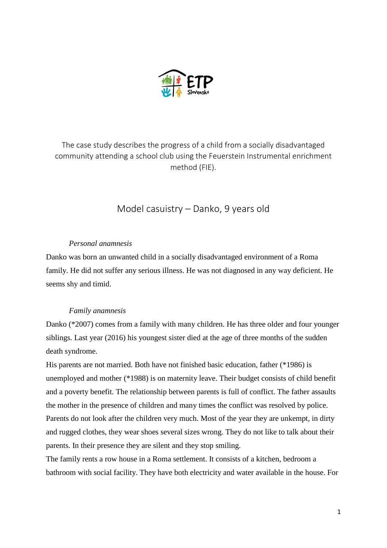

The case study describes the progress of a child from a socially disadvantaged community attending a school club using the Feuerstein Instrumental enrichment method (FIE).

# Model casuistry – Danko, 9 years old

## *Personal anamnesis*

Danko was born an unwanted child in a socially disadvantaged environment of a Roma family. He did not suffer any serious illness. He was not diagnosed in any way deficient. He seems shy and timid.

## *Family anamnesis*

Danko (\*2007) comes from a family with many children. He has three older and four younger siblings. Last year (2016) his youngest sister died at the age of three months of the sudden death syndrome.

His parents are not married. Both have not finished basic education, father (\*1986) is unemployed and mother (\*1988) is on maternity leave. Their budget consists of child benefit and a poverty benefit. The relationship between parents is full of conflict. The father assaults the mother in the presence of children and many times the conflict was resolved by police. Parents do not look after the children very much. Most of the year they are unkempt, in dirty and rugged clothes, they wear shoes several sizes wrong. They do not like to talk about their parents. In their presence they are silent and they stop smiling.

The family rents a row house in a Roma settlement. It consists of a kitchen, bedroom a bathroom with social facility. They have both electricity and water available in the house. For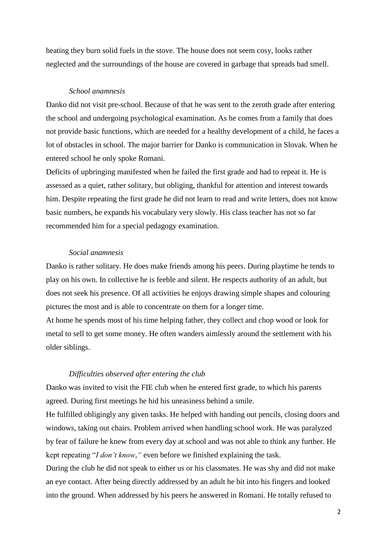heating they burn solid fuels in the stove. The house does not seem cosy, looks rather neglected and the surroundings of the house are covered in garbage that spreads bad smell.

#### *School anamnesis*

Danko did not visit pre-school. Because of that he was sent to the zeroth grade after entering the school and undergoing psychological examination. As he comes from a family that does not provide basic functions, which are needed for a healthy development of a child, he faces a lot of obstacles in school. The major barrier for Danko is communication in Slovak. When he entered school he only spoke Romani.

Deficits of upbringing manifested when he failed the first grade and had to repeat it. He is assessed as a quiet, rather solitary, but obliging, thankful for attention and interest towards him. Despite repeating the first grade he did not learn to read and write letters, does not know basic numbers, he expands his vocabulary very slowly. His class teacher has not so far recommended him for a special pedagogy examination.

## *Social anamnesis*

Danko is rather solitary. He does make friends among his peers. During playtime he tends to play on his own. In collective he is feeble and silent. He respects authority of an adult, but does not seek his presence. Of all activities he enjoys drawing simple shapes and colouring pictures the most and is able to concentrate on them for a longer time.

At home he spends most of his time helping father, they collect and chop wood or look for metal to sell to get some money. He often wanders aimlessly around the settlement with his older siblings.

## *Difficulties observed after entering the club*

Danko was invited to visit the FIE club when he entered first grade, to which his parents agreed. During first meetings he hid his uneasiness behind a smile.

He fulfilled obligingly any given tasks. He helped with handing out pencils, closing doors and windows, taking out chairs. Problem arrived when handling school work. He was paralyzed by fear of failure he knew from every day at school and was not able to think any further. He kept repeating "*I don't know,"* even before we finished explaining the task.

During the club he did not speak to either us or his classmates. He was shy and did not make an eye contact. After being directly addressed by an adult he bit into his fingers and looked into the ground. When addressed by his peers he answered in Romani. He totally refused to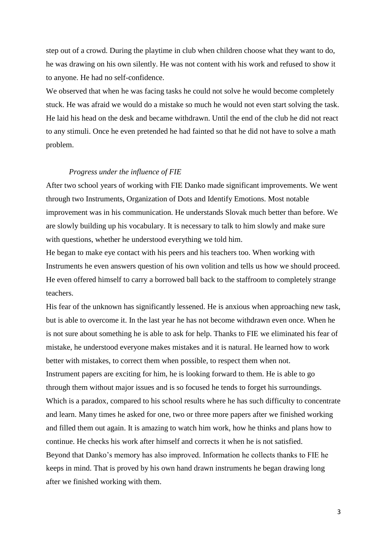step out of a crowd. During the playtime in club when children choose what they want to do, he was drawing on his own silently. He was not content with his work and refused to show it to anyone. He had no self-confidence.

We observed that when he was facing tasks he could not solve he would become completely stuck. He was afraid we would do a mistake so much he would not even start solving the task. He laid his head on the desk and became withdrawn. Until the end of the club he did not react to any stimuli. Once he even pretended he had fainted so that he did not have to solve a math problem.

#### *Progress under the influence of FIE*

After two school years of working with FIE Danko made significant improvements. We went through two Instruments, Organization of Dots and Identify Emotions. Most notable improvement was in his communication. He understands Slovak much better than before. We are slowly building up his vocabulary. It is necessary to talk to him slowly and make sure with questions, whether he understood everything we told him.

He began to make eye contact with his peers and his teachers too. When working with Instruments he even answers question of his own volition and tells us how we should proceed. He even offered himself to carry a borrowed ball back to the staffroom to completely strange teachers.

His fear of the unknown has significantly lessened. He is anxious when approaching new task, but is able to overcome it. In the last year he has not become withdrawn even once. When he is not sure about something he is able to ask for help. Thanks to FIE we eliminated his fear of mistake, he understood everyone makes mistakes and it is natural. He learned how to work better with mistakes, to correct them when possible, to respect them when not. Instrument papers are exciting for him, he is looking forward to them. He is able to go through them without major issues and is so focused he tends to forget his surroundings. Which is a paradox, compared to his school results where he has such difficulty to concentrate and learn. Many times he asked for one, two or three more papers after we finished working and filled them out again. It is amazing to watch him work, how he thinks and plans how to continue. He checks his work after himself and corrects it when he is not satisfied. Beyond that Danko's memory has also improved. Information he collects thanks to FIE he keeps in mind. That is proved by his own hand drawn instruments he began drawing long after we finished working with them.